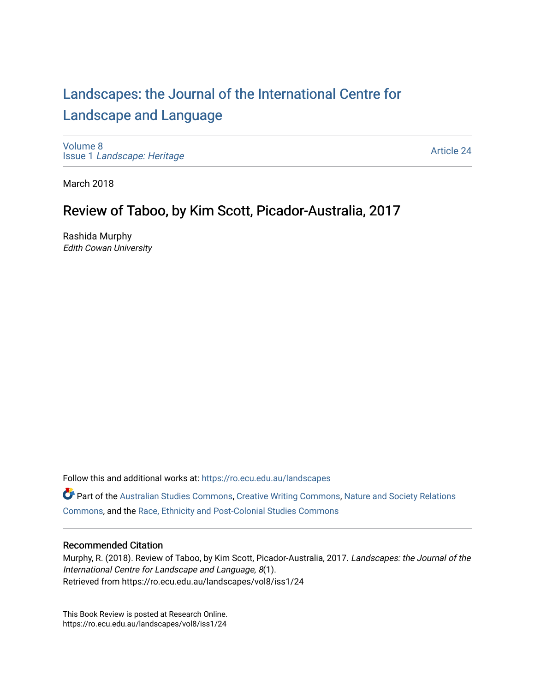## [Landscapes: the Journal of the International Centre for](https://ro.ecu.edu.au/landscapes) [Landscape and Language](https://ro.ecu.edu.au/landscapes)

[Volume 8](https://ro.ecu.edu.au/landscapes/vol8) Issue 1 [Landscape: Heritage](https://ro.ecu.edu.au/landscapes/vol8/iss1)

[Article 24](https://ro.ecu.edu.au/landscapes/vol8/iss1/24) 

March 2018

## Review of Taboo, by Kim Scott, Picador-Australia, 2017

Rashida Murphy Edith Cowan University

Follow this and additional works at: [https://ro.ecu.edu.au/landscapes](https://ro.ecu.edu.au/landscapes?utm_source=ro.ecu.edu.au%2Flandscapes%2Fvol8%2Fiss1%2F24&utm_medium=PDF&utm_campaign=PDFCoverPages) 

Part of the [Australian Studies Commons](http://network.bepress.com/hgg/discipline/1020?utm_source=ro.ecu.edu.au%2Flandscapes%2Fvol8%2Fiss1%2F24&utm_medium=PDF&utm_campaign=PDFCoverPages), [Creative Writing Commons,](http://network.bepress.com/hgg/discipline/574?utm_source=ro.ecu.edu.au%2Flandscapes%2Fvol8%2Fiss1%2F24&utm_medium=PDF&utm_campaign=PDFCoverPages) [Nature and Society Relations](http://network.bepress.com/hgg/discipline/357?utm_source=ro.ecu.edu.au%2Flandscapes%2Fvol8%2Fiss1%2F24&utm_medium=PDF&utm_campaign=PDFCoverPages)  [Commons](http://network.bepress.com/hgg/discipline/357?utm_source=ro.ecu.edu.au%2Flandscapes%2Fvol8%2Fiss1%2F24&utm_medium=PDF&utm_campaign=PDFCoverPages), and the [Race, Ethnicity and Post-Colonial Studies Commons](http://network.bepress.com/hgg/discipline/566?utm_source=ro.ecu.edu.au%2Flandscapes%2Fvol8%2Fiss1%2F24&utm_medium=PDF&utm_campaign=PDFCoverPages) 

## Recommended Citation

Murphy, R. (2018). Review of Taboo, by Kim Scott, Picador-Australia, 2017. Landscapes: the Journal of the International Centre for Landscape and Language, 8(1). Retrieved from https://ro.ecu.edu.au/landscapes/vol8/iss1/24

This Book Review is posted at Research Online. https://ro.ecu.edu.au/landscapes/vol8/iss1/24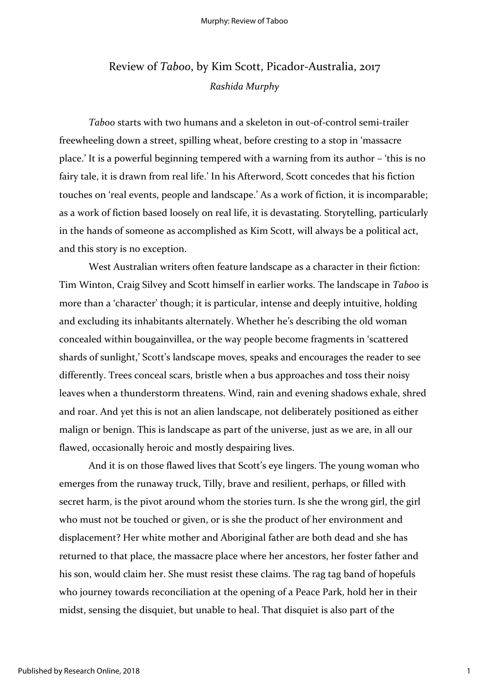## Review of *Taboo*, by Kim Scott, Picador-Australia, 2017 *Rashida Murphy*

*Taboo* starts with two humans and a skeleton in out-of-control semi-trailer freewheeling down a street, spilling wheat, before cresting to a stop in 'massacre place.' It is a powerful beginning tempered with a warning from its author – 'this is no fairy tale, it is drawn from real life.' In his Afterword, Scott concedes that his fiction touches on 'real events, people and landscape.' As a work of fiction, it is incomparable; as a work of fiction based loosely on real life, it is devastating. Storytelling, particularly in the hands of someone as accomplished as Kim Scott, will always be a political act, and this story is no exception.

West Australian writers often feature landscape as a character in their fiction: Tim Winton, Craig Silvey and Scott himself in earlier works. The landscape in *Taboo* is more than a 'character' though; it is particular, intense and deeply intuitive, holding and excluding its inhabitants alternately. Whether he's describing the old woman concealed within bougainvillea, or the way people become fragments in 'scattered shards of sunlight,' Scott's landscape moves, speaks and encourages the reader to see differently. Trees conceal scars, bristle when a bus approaches and toss their noisy leaves when a thunderstorm threatens. Wind, rain and evening shadows exhale, shred and roar. And yet this is not an alien landscape, not deliberately positioned as either malign or benign. This is landscape as part of the universe, just as we are, in all our flawed, occasionally heroic and mostly despairing lives.

And it is on those flawed lives that Scott's eye lingers. The young woman who emerges from the runaway truck, Tilly, brave and resilient, perhaps, or filled with secret harm, is the pivot around whom the stories turn. Is she the wrong girl, the girl who must not be touched or given, or is she the product of her environment and displacement? Her white mother and Aboriginal father are both dead and she has returned to that place, the massacre place where her ancestors, her foster father and his son, would claim her. She must resist these claims. The rag tag band of hopefuls who journey towards reconciliation at the opening of a Peace Park, hold her in their midst, sensing the disquiet, but unable to heal. That disquiet is also part of the